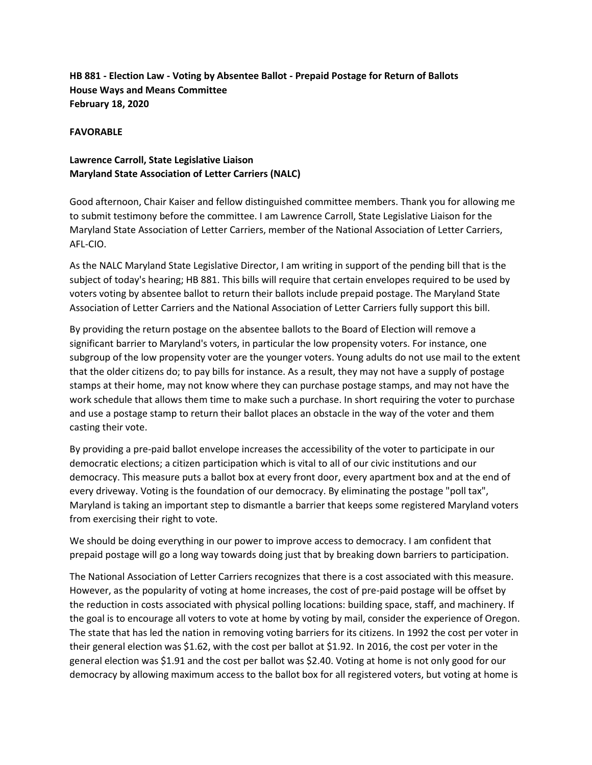**HB 881 - Election Law - Voting by Absentee Ballot - Prepaid Postage for Return of Ballots House Ways and Means Committee February 18, 2020**

## **FAVORABLE**

## **Lawrence Carroll, State Legislative Liaison Maryland State Association of Letter Carriers (NALC)**

Good afternoon, Chair Kaiser and fellow distinguished committee members. Thank you for allowing me to submit testimony before the committee. I am Lawrence Carroll, State Legislative Liaison for the Maryland State Association of Letter Carriers, member of the National Association of Letter Carriers, AFL-CIO.

As the NALC Maryland State Legislative Director, I am writing in support of the pending bill that is the subject of today's hearing; HB 881. This bills will require that certain envelopes required to be used by voters voting by absentee ballot to return their ballots include prepaid postage. The Maryland State Association of Letter Carriers and the National Association of Letter Carriers fully support this bill.

By providing the return postage on the absentee ballots to the Board of Election will remove a significant barrier to Maryland's voters, in particular the low propensity voters. For instance, one subgroup of the low propensity voter are the younger voters. Young adults do not use mail to the extent that the older citizens do; to pay bills for instance. As a result, they may not have a supply of postage stamps at their home, may not know where they can purchase postage stamps, and may not have the work schedule that allows them time to make such a purchase. In short requiring the voter to purchase and use a postage stamp to return their ballot places an obstacle in the way of the voter and them casting their vote.

By providing a pre-paid ballot envelope increases the accessibility of the voter to participate in our democratic elections; a citizen participation which is vital to all of our civic institutions and our democracy. This measure puts a ballot box at every front door, every apartment box and at the end of every driveway. Voting is the foundation of our democracy. By eliminating the postage "poll tax", Maryland is taking an important step to dismantle a barrier that keeps some registered Maryland voters from exercising their right to vote.

We should be doing everything in our power to improve access to democracy. I am confident that prepaid postage will go a long way towards doing just that by breaking down barriers to participation.

The National Association of Letter Carriers recognizes that there is a cost associated with this measure. However, as the popularity of voting at home increases, the cost of pre-paid postage will be offset by the reduction in costs associated with physical polling locations: building space, staff, and machinery. If the goal is to encourage all voters to vote at home by voting by mail, consider the experience of Oregon. The state that has led the nation in removing voting barriers for its citizens. In 1992 the cost per voter in their general election was \$1.62, with the cost per ballot at \$1.92. In 2016, the cost per voter in the general election was \$1.91 and the cost per ballot was \$2.40. Voting at home is not only good for our democracy by allowing maximum access to the ballot box for all registered voters, but voting at home is